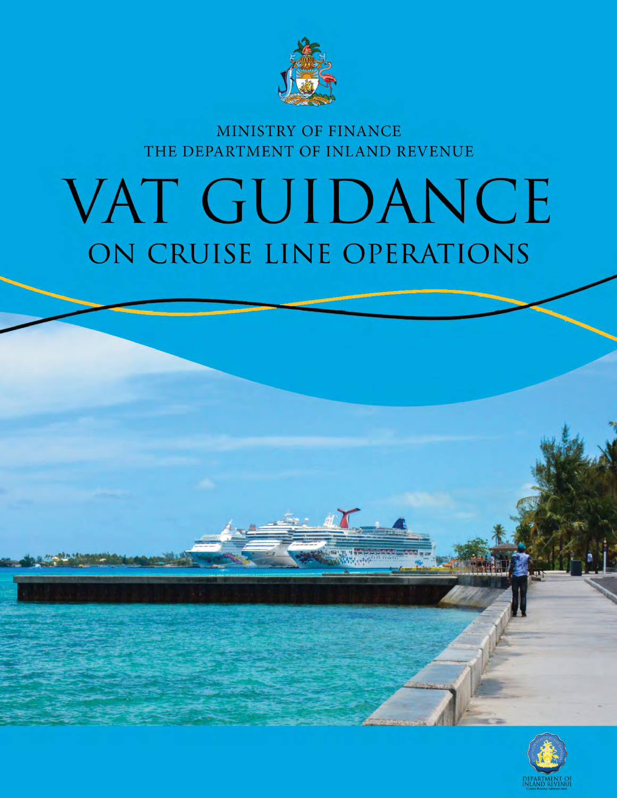

# MINISTRY OF FINANCE THE DEPARTMENT OF INLAND REVENUE

# VAT GUIDANCE ON CRUISE LINE OPERATIONS

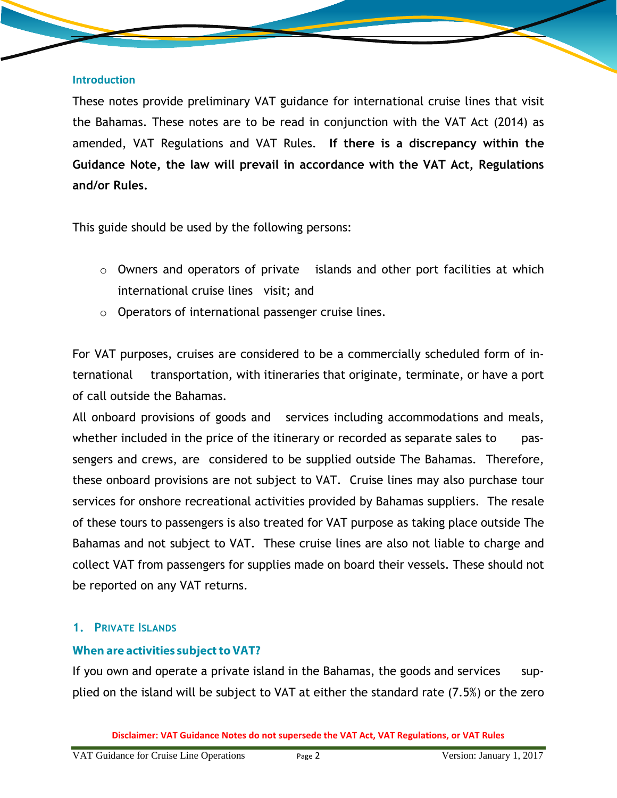#### **Introduction**

These notes provide preliminary VAT guidance for international cruise lines that visit the Bahamas. These notes are to be read in conjunction with the VAT Act (2014) as amended, VAT Regulations and VAT Rules. **If there is a discrepancy within the Guidance Note, the law will prevail in accordance with the VAT Act, Regulations and/or Rules.**

This guide should be used by the following persons:

- o Owners and operators of private islands and other port facilities at which international cruise lines visit; and
- o Operators of international passenger cruise lines.

For VAT purposes, cruises are considered to be a commercially scheduled form of international transportation, with itineraries that originate, terminate, or have a port of call outside the Bahamas.

All onboard provisions of goods and services including accommodations and meals, whether included in the price of the itinerary or recorded as separate sales to passengers and crews, are considered to be supplied outside The Bahamas. Therefore, these onboard provisions are not subject to VAT. Cruise lines may also purchase tour services for onshore recreational activities provided by Bahamas suppliers. The resale of these tours to passengers is also treated for VAT purpose as taking place outside The Bahamas and not subject to VAT. These cruise lines are also not liable to charge and collect VAT from passengers for supplies made on board their vessels. These should not be reported on any VAT returns.

#### **1. PRIVATE ISLANDS**

#### When are activities subject to VAT?

If you own and operate a private island in the Bahamas, the goods and services supplied on the island will be subject to VAT at either the standard rate (7.5%) or the zero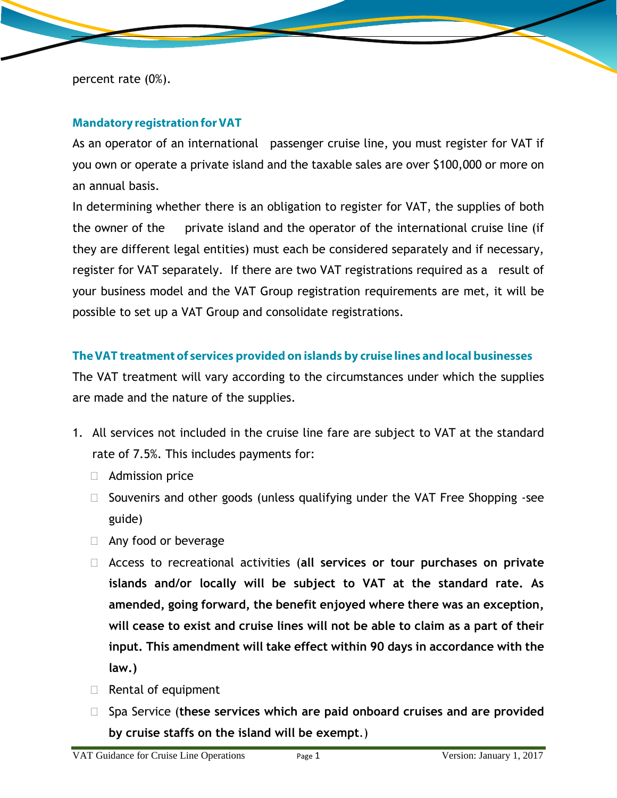percent rate (0%).

#### **Mandatory registration for VAT**

As an operator of an international passenger cruise line, you must register for VAT if you own or operate a private island and the taxable sales are over \$100,000 or more on an annual basis.

In determining whether there is an obligation to register for VAT, the supplies of both the owner of the private island and the operator of the international cruise line (if they are different legal entities) must each be considered separately and if necessary, register for VAT separately. If there are two VAT registrations required as a result of your business model and the VAT Group registration requirements are met, it will be possible to set up a VAT Group and consolidate registrations.

#### The VAT treatment of services provided on islands by cruise lines and local businesses

The VAT treatment will vary according to the circumstances under which the supplies are made and the nature of the supplies.

- 1. All services not included in the cruise line fare are subject to VAT at the standard rate of 7.5%. This includes payments for:
	- Admission price
	- □ Souvenirs and other goods (unless qualifying under the VAT Free Shopping -see guide)
	- $\Box$  Any food or beverage
	- Access to recreational activities (**all services or tour purchases on private islands and/or locally will be subject to VAT at the standard rate. As amended, going forward, the benefit enjoyed where there was an exception, will cease to exist and cruise lines will not be able to claim as a part of their input. This amendment will take effect within 90 days in accordance with the law.)**
	- $\Box$  Rental of equipment
	- Spa Service (**these services which are paid onboard cruises and are provided by cruise staffs on the island will be exempt**.)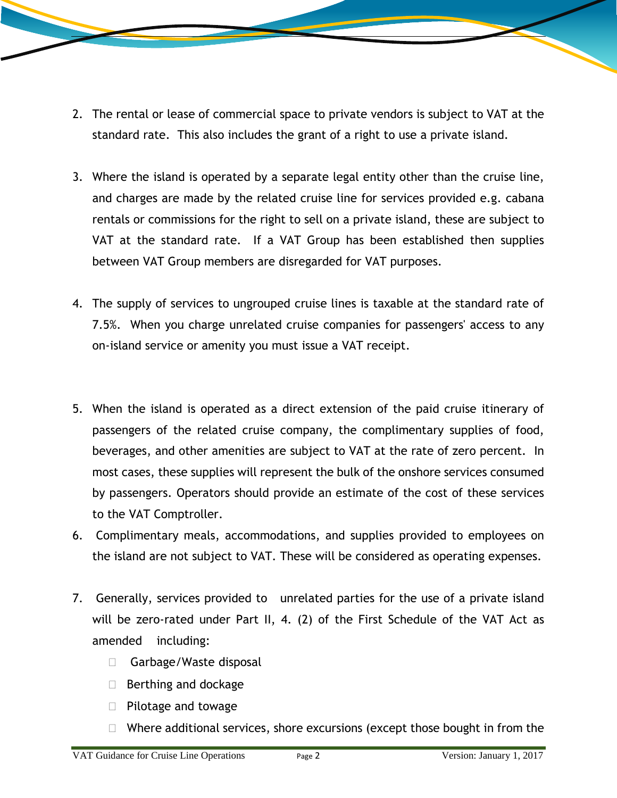- 2. The rental or lease of commercial space to private vendors is subject to VAT at the standard rate. This also includes the grant of a right to use a private island.
- 3. Where the island is operated by a separate legal entity other than the cruise line, and charges are made by the related cruise line for services provided e.g. cabana rentals or commissions for the right to sell on a private island, these are subject to VAT at the standard rate. If a VAT Group has been established then supplies between VAT Group members are disregarded for VAT purposes.
- 4. The supply of services to ungrouped cruise lines is taxable at the standard rate of 7.5%. When you charge unrelated cruise companies for passengers' access to any on-island service or amenity you must issue a VAT receipt.
- 5. When the island is operated as a direct extension of the paid cruise itinerary of passengers of the related cruise company, the complimentary supplies of food, beverages, and other amenities are subject to VAT at the rate of zero percent. In most cases, these supplies will represent the bulk of the onshore services consumed by passengers. Operators should provide an estimate of the cost of these services to the VAT Comptroller.
- 6. Complimentary meals, accommodations, and supplies provided to employees on the island are not subject to VAT. These will be considered as operating expenses.
- 7. Generally, services provided to unrelated parties for the use of a private island will be zero-rated under Part II, 4. (2) of the First Schedule of the VAT Act as amended including:
	- □ Garbage/Waste disposal
	- $\Box$  Berthing and dockage
	- $\Box$  Pilotage and towage
	- $\Box$  Where additional services, shore excursions (except those bought in from the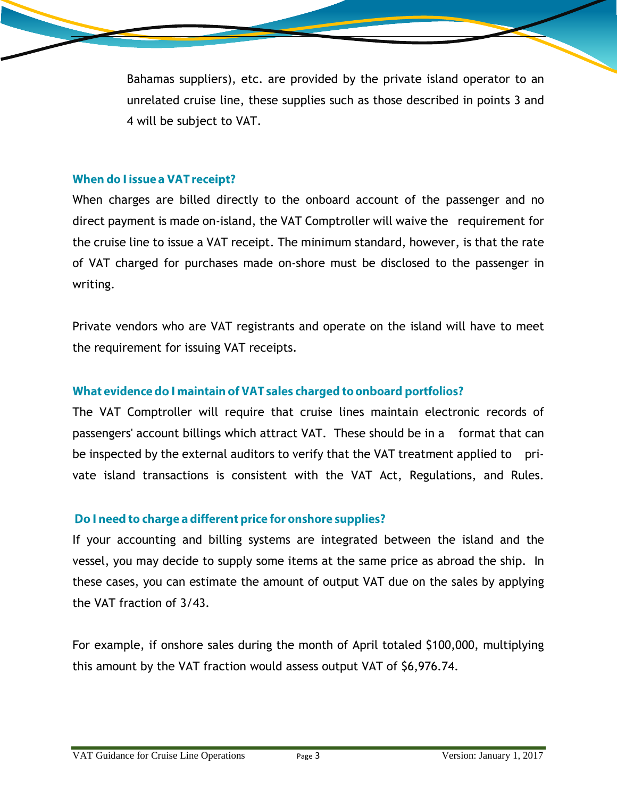Bahamas suppliers), etc. are provided by the private island operator to an unrelated cruise line, these supplies such as those described in points 3 and 4 will be subject to VAT.

#### When do I issue a VAT receipt?

When charges are billed directly to the onboard account of the passenger and no direct payment is made on-island, the VAT Comptroller will waive the requirement for the cruise line to issue a VAT receipt. The minimum standard, however, is that the rate of VAT charged for purchases made on-shore must be disclosed to the passenger in writing.

Private vendors who are VAT registrants and operate on the island will have to meet the requirement for issuing VAT receipts.

## What evidence do I maintain of VAT sales charged to onboard portfolios?

The VAT Comptroller will require that cruise lines maintain electronic records of passengers' account billings which attract VAT. These should be in a format that can be inspected by the external auditors to verify that the VAT treatment applied to private island transactions is consistent with the VAT Act, Regulations, and Rules.

#### Do I need to charge a different price for onshore supplies?

If your accounting and billing systems are integrated between the island and the vessel, you may decide to supply some items at the same price as abroad the ship. In these cases, you can estimate the amount of output VAT due on the sales by applying the VAT fraction of 3/43.

For example, if onshore sales during the month of April totaled \$100,000, multiplying this amount by the VAT fraction would assess output VAT of \$6,976.74.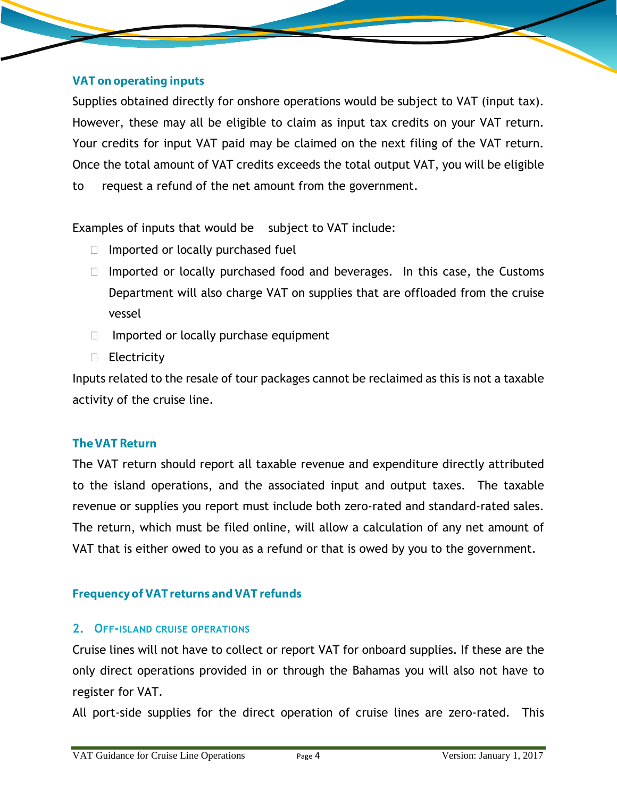#### **VAT on operating inputs**

Supplies obtained directly for onshore operations would be subject to VAT (input tax). However, these may all be eligible to claim as input tax credits on your VAT return. Your credits for input VAT paid may be claimed on the next filing of the VAT return. Once the total amount of VAT credits exceeds the total output VAT, you will be eligible to request a refund of the net amount from the government.

Examples of inputs that would be subject to VAT include:

- $\Box$  Imported or locally purchased fuel
- $\Box$  Imported or locally purchased food and beverages. In this case, the Customs Department will also charge VAT on supplies that are offloaded from the cruise vessel
- $\Box$  Imported or locally purchase equipment
- $\Box$  Electricity

Inputs related to the resale of tour packages cannot be reclaimed as this is not a taxable activity of the cruise line.

#### **The VAT Return**

The VAT return should report all taxable revenue and expenditure directly attributed to the island operations, and the associated input and output taxes. The taxable revenue or supplies you report must include both zero-rated and standard-rated sales. The return, which must be filed online, will allow a calculation of any net amount of VAT that is either owed to you as a refund or that is owed by you to the government.

#### **Frequency of VAT returns and VAT refunds**

#### **2. OFF-ISLAND CRUISE OPERATIONS**

Cruise lines will not have to collect or report VAT for onboard supplies. If these are the only direct operations provided in or through the Bahamas you will also not have to register for VAT.

All port-side supplies for the direct operation of cruise lines are zero-rated. This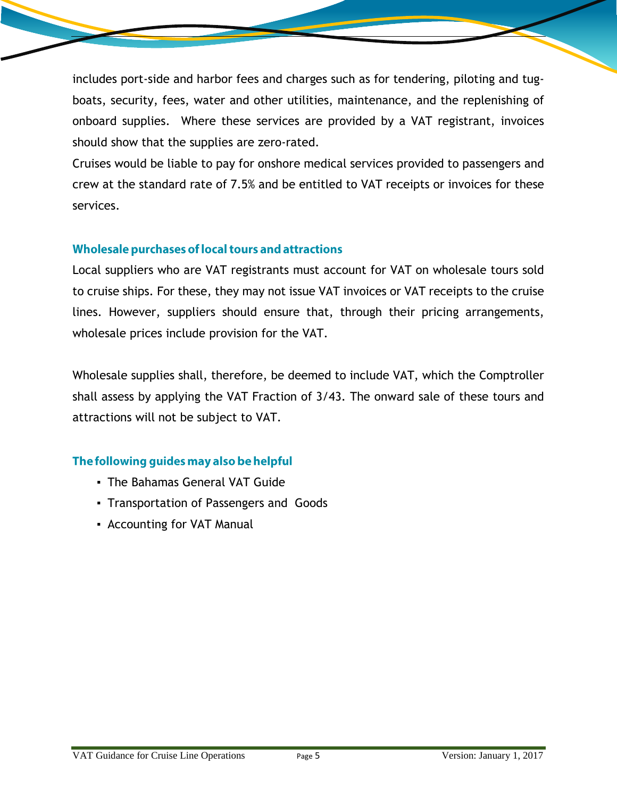includes port-side and harbor fees and charges such as for tendering, piloting and tugboats, security, fees, water and other utilities, maintenance, and the replenishing of onboard supplies. Where these services are provided by a VAT registrant, invoices should show that the supplies are zero-rated.

Cruises would be liable to pay for onshore medical services provided to passengers and crew at the standard rate of 7.5% and be entitled to VAT receipts or invoices for these services.

#### Wholesale purchases of local tours and attractions

Local suppliers who are VAT registrants must account for VAT on wholesale tours sold to cruise ships. For these, they may not issue VAT invoices or VAT receipts to the cruise lines. However, suppliers should ensure that, through their pricing arrangements, wholesale prices include provision for the VAT.

Wholesale supplies shall, therefore, be deemed to include VAT, which the Comptroller shall assess by applying the VAT Fraction of 3/43. The onward sale of these tours and attractions will not be subject to VAT.

## The following guides may also be helpful

- The Bahamas General VAT Guide
- Transportation of Passengers and Goods
- **▪** Accounting for VAT Manual